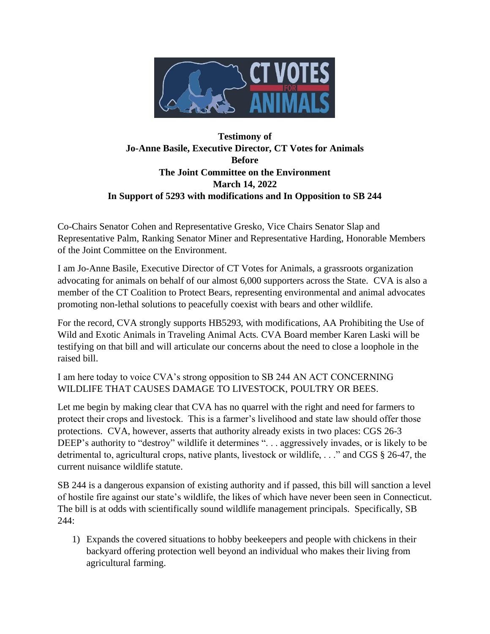

## **Testimony of Jo-Anne Basile, Executive Director, CT Votes for Animals Before The Joint Committee on the Environment March 14, 2022 In Support of 5293 with modifications and In Opposition to SB 244**

Co-Chairs Senator Cohen and Representative Gresko, Vice Chairs Senator Slap and Representative Palm, Ranking Senator Miner and Representative Harding, Honorable Members of the Joint Committee on the Environment.

I am Jo-Anne Basile, Executive Director of CT Votes for Animals, a grassroots organization advocating for animals on behalf of our almost 6,000 supporters across the State. CVA is also a member of the CT Coalition to Protect Bears, representing environmental and animal advocates promoting non-lethal solutions to peacefully coexist with bears and other wildlife.

For the record, CVA strongly supports HB5293, with modifications, AA Prohibiting the Use of Wild and Exotic Animals in Traveling Animal Acts. CVA Board member Karen Laski will be testifying on that bill and will articulate our concerns about the need to close a loophole in the raised bill.

I am here today to voice CVA's strong opposition to SB 244 AN ACT CONCERNING WILDLIFE THAT CAUSES DAMAGE TO LIVESTOCK, POULTRY OR BEES.

Let me begin by making clear that CVA has no quarrel with the right and need for farmers to protect their crops and livestock. This is a farmer's livelihood and state law should offer those protections. CVA, however, asserts that authority already exists in two places: CGS 26-3 DEEP's authority to "destroy" wildlife it determines ". . . aggressively invades, or is likely to be detrimental to, agricultural crops, native plants, livestock or wildlife, . . ." and CGS § 26-47, the current nuisance wildlife statute.

SB 244 is a dangerous expansion of existing authority and if passed, this bill will sanction a level of hostile fire against our state's wildlife, the likes of which have never been seen in Connecticut. The bill is at odds with scientifically sound wildlife management principals. Specifically, SB 244:

1) Expands the covered situations to hobby beekeepers and people with chickens in their backyard offering protection well beyond an individual who makes their living from agricultural farming.